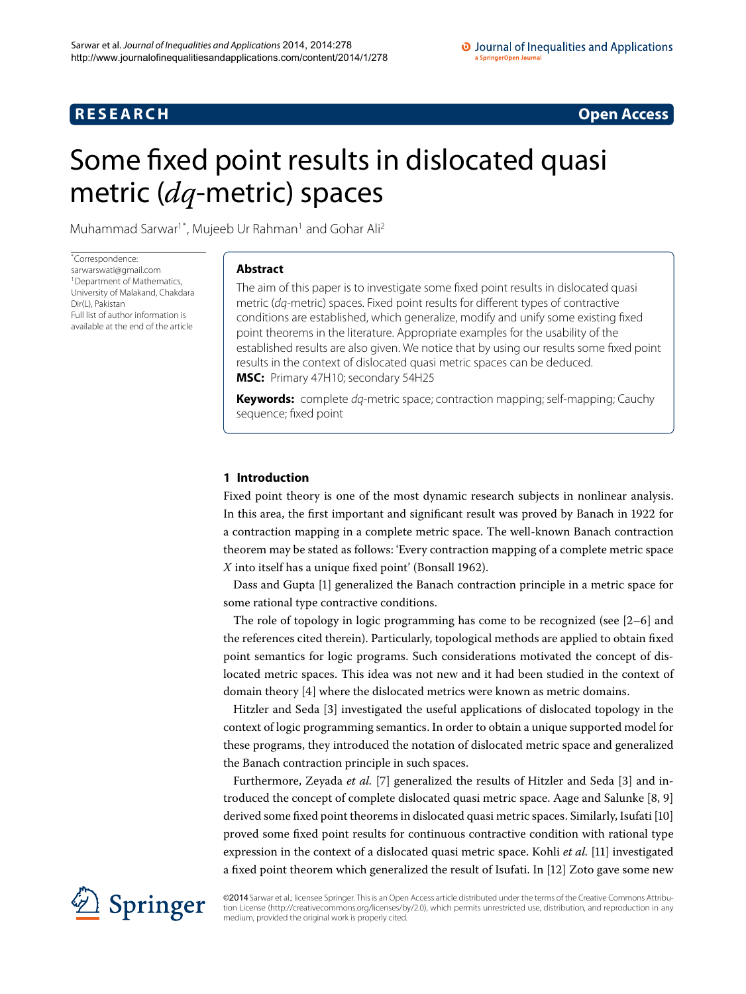# **RESEARCH Open Access**

# <span id="page-0-0"></span>Some fixed point results in dislocated quasi metric (*dq*-metric) spaces

Muhammad Sarwar<sup>1[\\*](#page-0-0)</sup>, Mujeeb Ur Rahman<sup>1</sup> and Gohar Ali<sup>[2](#page-9-1)</sup>

\* Correspondence: [sarwarswati@gmail.com](mailto:sarwarswati@gmail.com) <sup>1</sup> Department of Mathematics, University of Malakand, Chakdara Dir(L), Pakistan Full list of author information is available at the end of the article

# **Abstract**

The aim of this paper is to investigate some fixed point results in dislocated quasi metric (dq-metric) spaces. Fixed point results for different types of contractive conditions are established, which generalize, modify and unify some existing fixed point theorems in the literature. Appropriate examples for the usability of the established results are also given. We notice that by using our results some fixed point results in the context of dislocated quasi metric spaces can be deduced. **MSC:** Primary 47H10; secondary 54H25

**Keywords:** complete dq-metric space; contraction mapping; self-mapping; Cauchy sequence; fixed point

# **1 Introduction**

Fixed point theory is one of the most dynamic research subjects in nonlinear analysis. In this area, the first important and significant result was proved by Banach in 1922 for a contraction mapping in a complete metric space. The well-known Banach contraction theorem may be stated as follows: 'Every contraction mapping of a complete metric space *X* into itself has a unique fixed point' (Bonsall 1962).

Dass and Gupta [[\]](#page-9-2) generalized the Banach contraction principle in a metric space for some rational type contractive conditions.

The role of topology in logic programming has come to be recognized (see  $[2-6]$  $[2-6]$  and the references cited therein). Particularly, topological methods are applied to obtain fixed point semantics for logic programs. Such considerations motivated the concept of dislocated metric spaces. This idea was not new and it had been studied in the context of domain theory  $[4]$  where the dislocated metrics were known as metric domains.

Hitzler and Seda [\[](#page-9-6)3] investigated the useful applications of dislocated topology in the context of logic programming semantics. In order to obtain a unique supported model for these programs, they introduced the notation of dislocated metric space and generalized the Banach contraction principle in such spaces.

Furthermore, Zeyada et al. [\[](#page-9-7)7[\]](#page-9-6) generalized the results of Hitzler and Seda [3] and introduced the concept of complete dislocated quasi metric space. Aage and Salunke  $[8, 9]$  $[8, 9]$ derived some fixed point theorems in dislocated quasi metric spaces. Similarly, Isufati [10[\]](#page-9-10) proved some fixed point results for continuous contractive condition with rational type expression in the context of a dislocated quasi metric space. Kohli et al. [11] investigated a fixed point theorem which generalized the result of Isufati. In [12] Zoto gave some new



©2014 Sarwar et al.; licensee Springer. This is an Open Access article distributed under the terms of the Creative Commons Attribution License ([http://creativecommons.org/licenses/by/2.0\)](http://creativecommons.org/licenses/by/2.0), which permits unrestricted use, distribution, and reproduction in any medium, provided the original work is properly cited.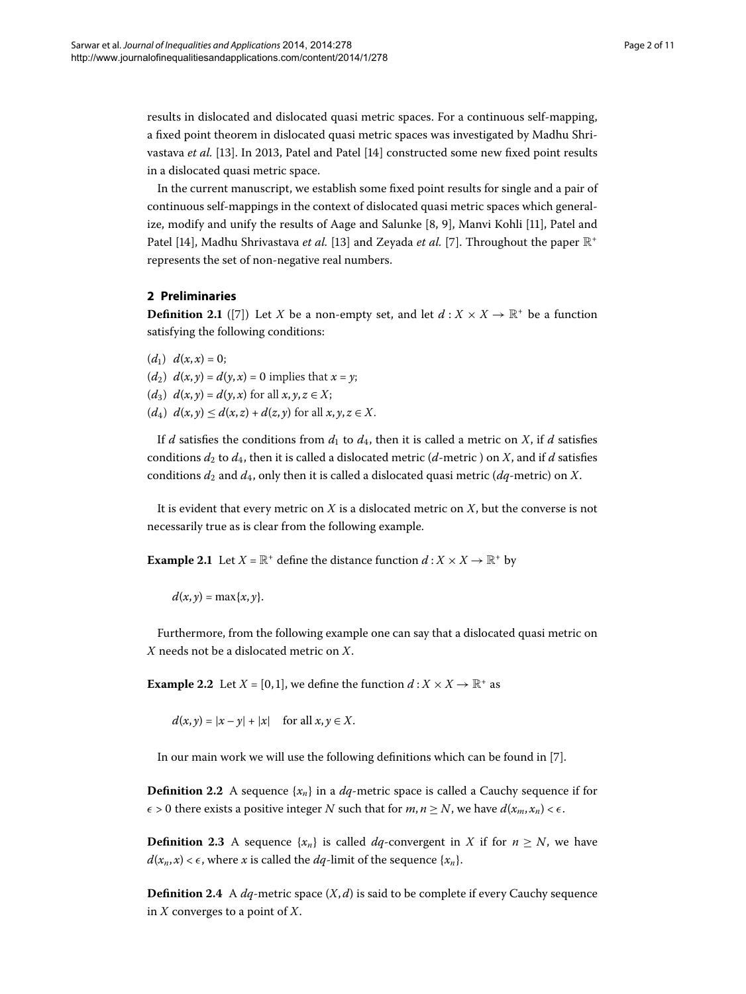results in dislocated and dislocated quasi metric spaces. For a continuous self-mapping, a fixed point theorem in dislocated quasi metric spaces was investigated by Madhu Shri-vastava et al. [13[\]](#page-10-1). In 2013, Patel and Patel [14] constructed some new fixed point results in a dislocated quasi metric space.

In the current manuscript, we establish some fixed point results for single and a pair of continuous self-mappings in the context of dislocated quasi metric spaces which general-ize[,](#page-9-8) modify and unify the results of Aage and Salunke  $[8, 9]$  $[8, 9]$ , Manvi Kohli  $[11]$ , Patel and Patel [\[](#page-10-1)14[\]](#page-9-7), Madhu Shrivastava *et al.* [13] and Zeyada *et al.* [7]. Throughout the paper  $\mathbb{R}^+$ represents the set of non-negative real numbers.

# **2 Preliminaries**

**Definition 2.1** ([7[\]](#page-9-7)) Let *X* be a non-empty set, and let  $d: X \times X \rightarrow \mathbb{R}^+$  be a function satisfying the following conditions:

 $(d_1)$   $d(x, x) = 0;$ (*d*<sub>2</sub>)  $d(x, y) = d(y, x) = 0$  implies that  $x = y$ ; (*d*<sub>3</sub>)  $d(x, y) = d(y, x)$  for all  $x, y, z \in X$ ;  $(d_4)$   $d(x, y) \leq d(x, z) + d(z, y)$  for all  $x, y, z \in X$ .

If *d* satisfies the conditions from  $d_1$  to  $d_4$ , then it is called a metric on *X*, if *d* satisfies conditions  $d_2$  to  $d_4$ , then it is called a dislocated metric ( $d$ -metric) on *X*, and if  $d$  satisfies conditions  $d_2$  and  $d_4$ , only then it is called a dislocated quasi metric ( $dq$ -metric) on *X*.

It is evident that every metric on *X* is a dislocated metric on *X*, but the converse is not necessarily true as is clear from the following example.

**Example 2.1** Let  $X = \mathbb{R}^+$  define the distance function  $d : X \times X \to \mathbb{R}^+$  by

 $d(x, y) = \max\{x, y\}.$ 

Furthermore, from the following example one can say that a dislocated quasi metric on *X* needs not be a dislocated metric on *X*.

**Example 2.2** Let  $X = [0, 1]$ , we define the function  $d : X \times X \rightarrow \mathbb{R}^+$  as

 $d(x, y) = |x - y| + |x|$  for all  $x, y \in X$ .

In our main work we will use the following definitions which can be found in [\[](#page-9-7)7].

**Definition 2.2** A sequence  $\{x_n\}$  in a *dq*-metric space is called a Cauchy sequence if for  $\epsilon > 0$  there exists a positive integer *N* such that for  $m, n \geq N$ , we have  $d(x_m, x_n) < \epsilon$ .

**Definition 2.3** A sequence  $\{x_n\}$  is called *dq*-convergent in *X* if for  $n \geq N$ , we have  $d(x_n, x) < \epsilon$ , where *x* is called the *dq*-limit of the sequence  $\{x_n\}$ .

**Definition 2.4** A  $dq$ -metric space  $(X, d)$  is said to be complete if every Cauchy sequence in *X* converges to a point of *X*.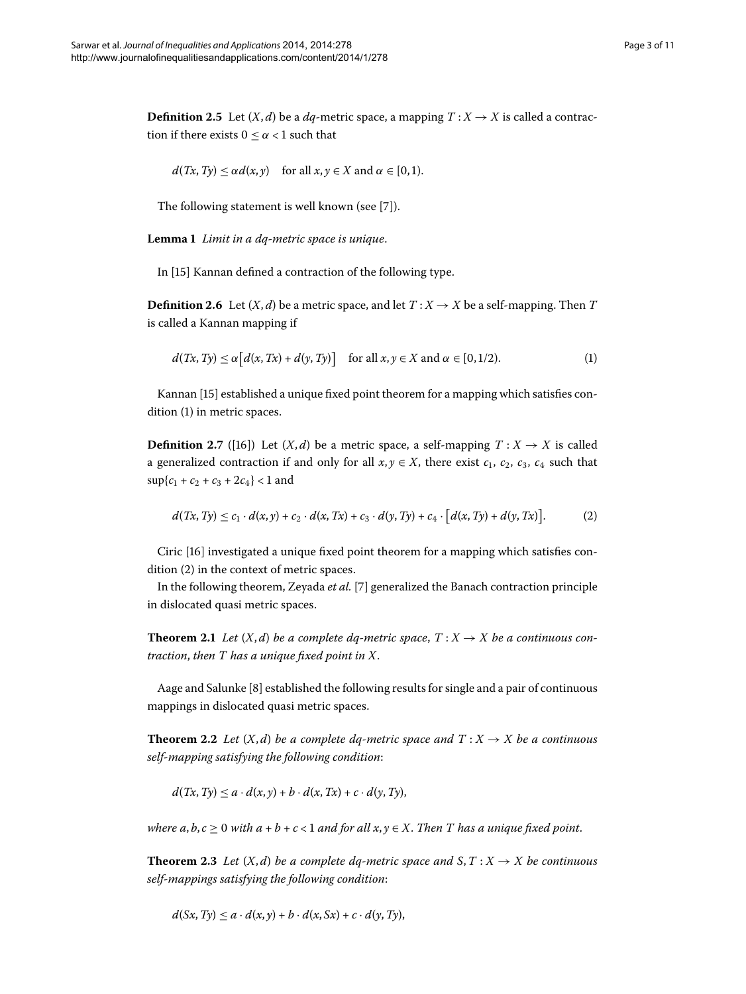**Definition 2.5** Let  $(X, d)$  be a  $dq$ -metric space, a mapping  $T: X \rightarrow X$  is called a contraction if there exists  $0 \leq \alpha < 1$  such that

<span id="page-2-0"></span>
$$
d(Tx, Ty) \le \alpha d(x, y) \quad \text{for all } x, y \in X \text{ and } \alpha \in [0, 1).
$$

The following statement is well known (see [\[](#page-9-7)7]).

Lemma 1 Limit in a dq-metric space is unique.

In [15[\]](#page-10-2) Kannan defined a contraction of the following type.

**Definition 2.6** Let  $(X, d)$  be a metric space, and let  $T: X \rightarrow X$  be a self-mapping. Then *T* is called a Kannan mapping if

<span id="page-2-1"></span>
$$
d(Tx, Ty) \le \alpha \big[d(x, Tx) + d(y, Ty)\big] \quad \text{for all } x, y \in X \text{ and } \alpha \in [0, 1/2).
$$
 (1)

Kannan [\[](#page-10-2)15] established a unique fixed point theorem for a mapping which satisfies con $dition(1)$  in metric spaces.

**Definition 2.7** ([\[](#page-10-3)16]) Let  $(X,d)$  be a metric space, a self-mapping  $T : X \rightarrow X$  is called a generalized contraction if and only for all  $x, y \in X$ , there exist  $c_1$ ,  $c_2$ ,  $c_3$ ,  $c_4$  such that  $\sup\{c_1 + c_2 + c_3 + 2c_4\} < 1$  and

$$
d(Tx, Ty) \le c_1 \cdot d(x, y) + c_2 \cdot d(x, Tx) + c_3 \cdot d(y, Ty) + c_4 \cdot [d(x, Ty) + d(y, Tx)].
$$
 (2)

Ciric [\[](#page-10-3)] investigated a unique fixed point theorem for a mapping which satisfies con- $dition (2)$  $dition (2)$  $dition (2)$  in the context of metric spaces.

In the following theorem, Zeyada et al. [\[](#page-9-7)7] generalized the Banach contraction principle in dislocated quasi metric spaces.

**Theorem 2.1** Let  $(X, d)$  be a complete dq-metric space,  $T : X \rightarrow X$  be a continuous con*traction*, *then T has a unique fixed point in X*.

Aage and Salunke  $[8]$  $[8]$  established the following results for single and a pair of continuous mappings in dislocated quasi metric spaces.

**Theorem 2.2** Let  $(X, d)$  be a complete dq-metric space and  $T : X \rightarrow X$  be a continuous *self-mapping satisfying the following condition*:

$$
d(Tx,Ty) \leq a \cdot d(x,y) + b \cdot d(x,Tx) + c \cdot d(y,Ty),
$$

*where a, b, c*  $\geq$  0 *with a* + *b* + *c* < 1 *and for all x, y*  $\in$  *X*. *Then T has a unique fixed point.* 

**Theorem 2.3** Let  $(X, d)$  be a complete dq-metric space and  $S, T: X \rightarrow X$  be continuous *self-mappings satisfying the following condition*:

$$
d(Sx, Ty) \leq a \cdot d(x, y) + b \cdot d(x, Sx) + c \cdot d(y, Ty),
$$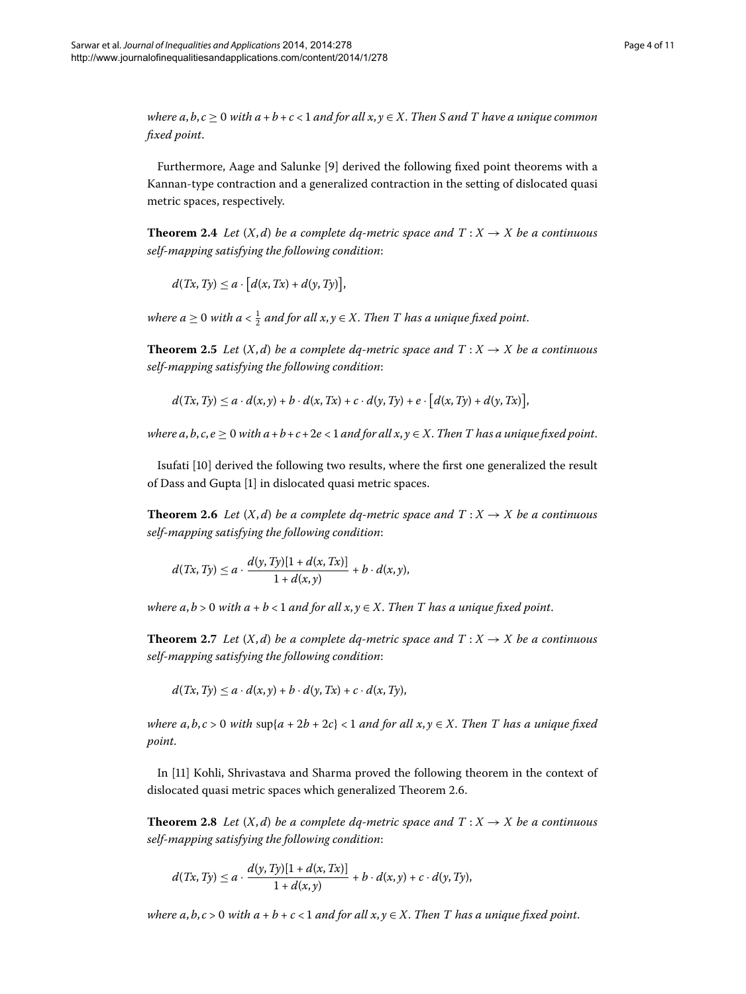*where a*, *b*,  $c \ge 0$  *with a* + *b* + *c* < 1 *and for all x*,  $y \in X$ . *Then S and T have a unique common fixed point*.

Furthermore, Aage and Salunke [\[](#page-9-9)9] derived the following fixed point theorems with a Kannan-type contraction and a generalized contraction in the setting of dislocated quasi metric spaces, respectively.

**Theorem 2.4** Let  $(X,d)$  be a complete dq-metric space and  $T : X \rightarrow X$  be a continuous *self-mapping satisfying the following condition*:

 $d(Tx, Ty) \le a \cdot [d(x, Tx) + d(y, Ty)],$ 

where  $a \geq 0$  with  $a < \frac{1}{2}$  and for all  $x, y \in X$ . Then T has a unique fixed point.

**Theorem 2.5** Let  $(X, d)$  be a complete dq-metric space and  $T : X \rightarrow X$  be a continuous *self-mapping satisfying the following condition*:

 $d(Tx, Ty) \le a \cdot d(x, y) + b \cdot d(x, Tx) + c \cdot d(y, Ty) + e \cdot [d(x, Ty) + d(y, Tx)],$ 

<span id="page-3-0"></span>*where a*, *b*, *c*, *e*  $\geq$  0 *with a* + *b* + *c* + 2*e* < 1 *and for all x*, *y*  $\in$  *X*. *Then T has a unique fixed point.* 

Isufati [10] derived the following two results, where the first one generalized the result of Dass and Gupta [\[](#page-9-2)] in dislocated quasi metric spaces.

**Theorem 2.6** Let  $(X,d)$  be a complete dq-metric space and  $T : X \rightarrow X$  be a continuous *self-mapping satisfying the following condition*:

$$
d(Tx, Ty) \le a \cdot \frac{d(y, Ty)[1 + d(x, Tx)]}{1 + d(x, y)} + b \cdot d(x, y),
$$

*where a, b* > 0 *with a* + *b* < 1 *and for all x, y*  $\in$  *X. Then T has a unique fixed point.* 

**Theorem 2.7** Let  $(X, d)$  be a complete dq-metric space and  $T : X \rightarrow X$  be a continuous *self-mapping satisfying the following condition*:

$$
d(Tx,Ty) \leq a \cdot d(x,y) + b \cdot d(y,Tx) + c \cdot d(x,Ty),
$$

*where a, b, c* > 0 *with*  $\sup\{a + 2b + 2c\}$  < 1 *and for all x, y*  $\in$  *X*. *Then T* has a unique fixed *point*.

In [11] Kohli, Shrivastava and Sharma proved the following theorem in the context of dislocated quasi metric spaces which generalized Theorem 2[.](#page-3-0)6.

**Theorem 2.8** Let  $(X, d)$  be a complete dq-metric space and  $T : X \rightarrow X$  be a continuous *self-mapping satisfying the following condition*:

$$
d(Tx, Ty) \le a \cdot \frac{d(y, Ty)[1 + d(x, Tx)]}{1 + d(x, y)} + b \cdot d(x, y) + c \cdot d(y, Ty),
$$

*where a, b, c* > 0 *with a* + *b* + *c* < 1 *and for all x, y*  $\in$  *X*. *Then T has a unique fixed point.*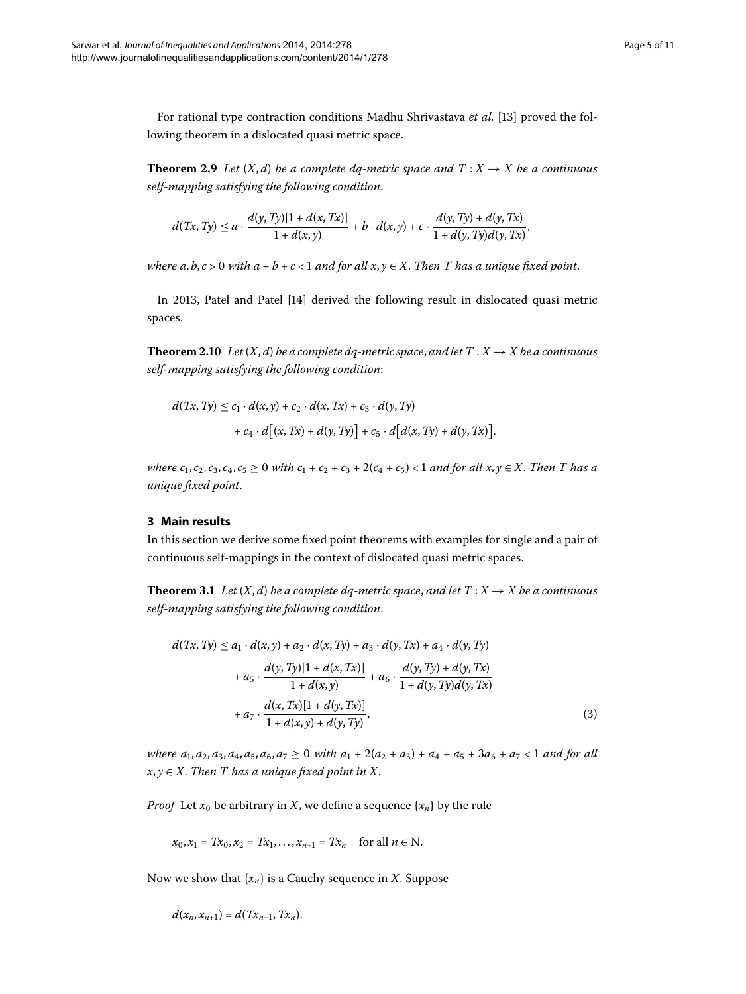For rational type contraction conditions Madhu Shrivastava *et al.* [13[\]](#page-10-0) proved the following theorem in a dislocated quasi metric space.

**Theorem 2.9** Let  $(X,d)$  be a complete dq-metric space and  $T : X \rightarrow X$  be a continuous *self-mapping satisfying the following condition*:

$$
d(Tx, Ty) \le a \cdot \frac{d(y, Ty)[1 + d(x, Tx)]}{1 + d(x, y)} + b \cdot d(x, y) + c \cdot \frac{d(y, Ty) + d(y, Tx)}{1 + d(y, Ty)d(y, Tx)},
$$

*where*  $a, b, c > 0$  *with*  $a + b + c < 1$  *and for all*  $x, y \in X$ . *Then T has a unique fixed point.* 

In 2013, Patel and Patel [14[\]](#page-10-1) derived the following result in dislocated quasi metric spaces.

**Theorem 2.10** Let  $(X, d)$  be a complete dq-metric space, and let  $T : X \rightarrow X$  be a continuous *self-mapping satisfying the following condition*:

$$
d(Tx, Ty) \le c_1 \cdot d(x, y) + c_2 \cdot d(x, Tx) + c_3 \cdot d(y, Ty) + c_4 \cdot d[(x, Tx) + d(y, Ty)] + c_5 \cdot d[d(x, Ty) + d(y, Tx)],
$$

<span id="page-4-1"></span>*where*  $c_1$ ,  $c_2$ ,  $c_3$ ,  $c_4$ ,  $c_5 \ge 0$  *with*  $c_1 + c_2 + c_3 + 2(c_4 + c_5) < 1$  *and for all*  $x, y \in X$ . *Then T* has a *unique fixed point*.

# **3 Main results**

In this section we derive some fixed point theorems with examples for single and a pair of continuous self-mappings in the context of dislocated quasi metric spaces.

**Theorem 3.1** Let  $(X, d)$  be a complete dq-metric space, and let  $T : X \rightarrow X$  be a continuous *self-mapping satisfying the following condition*:

<span id="page-4-0"></span>
$$
d(Tx, Ty) \le a_1 \cdot d(x, y) + a_2 \cdot d(x, Ty) + a_3 \cdot d(y, Tx) + a_4 \cdot d(y, Ty) + a_5 \cdot \frac{d(y, Ty)[1 + d(x, Tx)]}{1 + d(x, y)} + a_6 \cdot \frac{d(y, Ty) + d(y, Tx)}{1 + d(y, Ty)d(y, Tx)} + a_7 \cdot \frac{d(x, Tx)[1 + d(y, Tx)]}{1 + d(x, y) + d(y, Ty)},
$$
\n(3)

*where*  $a_1, a_2, a_3, a_4, a_5, a_6, a_7 \ge 0$  *with*  $a_1 + 2(a_2 + a_3) + a_4 + a_5 + 3a_6 + a_7 < 1$  *and for all*  $x, y \in X$ . Then T has a unique fixed point in X.

*Proof* Let  $x_0$  be arbitrary in *X*, we define a sequence  $\{x_n\}$  by the rule

$$
x_0, x_1 = Tx_0, x_2 = Tx_1, ..., x_{n+1} = Tx_n
$$
 for all  $n \in \mathbb{N}$ .

Now we show that {*xn*} is a Cauchy sequence in *X*. Suppose

$$
d(x_n, x_{n+1}) = d(Tx_{n-1}, Tx_n).
$$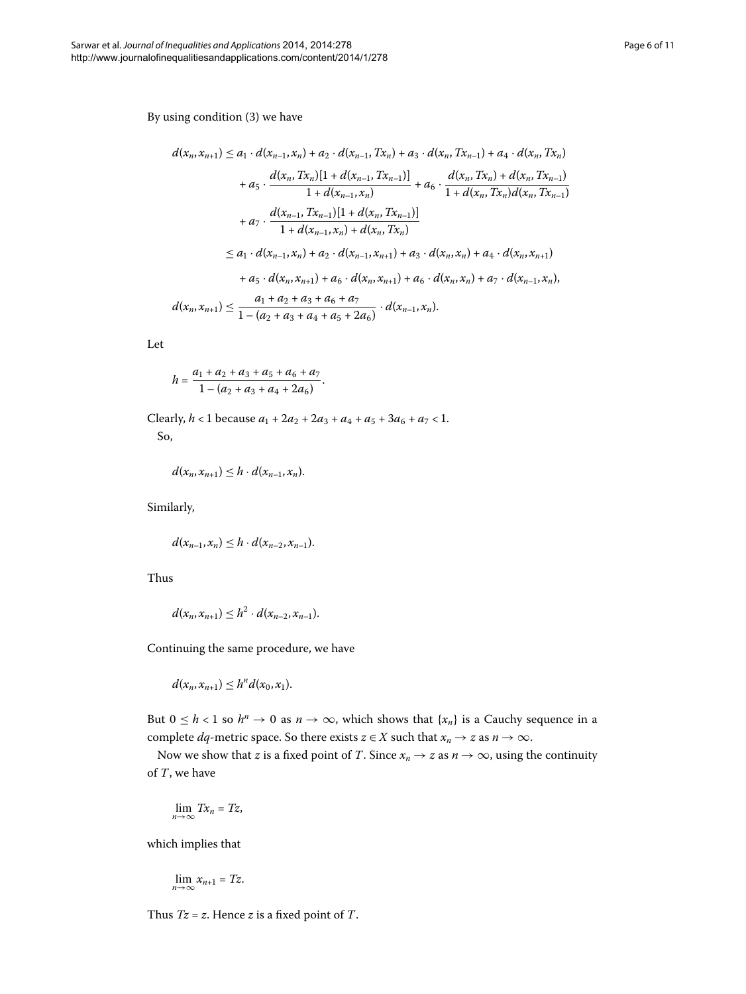By using condition [\(](#page-4-0)3) we have

$$
d(x_n, x_{n+1}) \le a_1 \cdot d(x_{n-1}, x_n) + a_2 \cdot d(x_{n-1}, Tx_n) + a_3 \cdot d(x_n, Tx_{n-1}) + a_4 \cdot d(x_n, Tx_n)
$$
  
+  $a_5 \cdot \frac{d(x_n, Tx_n)[1 + d(x_{n-1}, Tx_{n-1})]}{1 + d(x_{n-1}, x_n)} + a_6 \cdot \frac{d(x_n, Tx_n) + d(x_n, Tx_{n-1})}{1 + d(x_n, Tx_n) d(x_n, Tx_{n-1})}$   
+  $a_7 \cdot \frac{d(x_{n-1}, Tx_{n-1})[1 + d(x_n, Tx_{n-1})]}{1 + d(x_n, Tx_n)}$   
 $\le a_1 \cdot d(x_{n-1}, x_n) + a_2 \cdot d(x_{n-1}, x_{n+1}) + a_3 \cdot d(x_n, x_n) + a_4 \cdot d(x_n, x_{n+1})$   
+  $a_5 \cdot d(x_n, x_{n+1}) + a_6 \cdot d(x_n, x_{n+1}) + a_6 \cdot d(x_n, x_n) + a_7 \cdot d(x_{n-1}, x_n),$   
 $d(x_n, x_{n+1}) \le \frac{a_1 + a_2 + a_3 + a_6 + a_7}{1 - (a_2 + a_3 + a_4 + a_5 + 2a_6)} \cdot d(x_{n-1}, x_n).$ 

Let

$$
h = \frac{a_1 + a_2 + a_3 + a_5 + a_6 + a_7}{1 - (a_2 + a_3 + a_4 + 2a_6)}.
$$

Clearly,  $h < 1$  because  $a_1 + 2a_2 + 2a_3 + a_4 + a_5 + 3a_6 + a_7 < 1$ . So,

$$
d(x_n,x_{n+1})\leq h\cdot d(x_{n-1},x_n).
$$

Similarly,

$$
d(x_{n-1},x_n) \leq h \cdot d(x_{n-2},x_{n-1}).
$$

Thus

$$
d(x_n,x_{n+1}) \leq h^2 \cdot d(x_{n-2},x_{n-1}).
$$

Continuing the same procedure, we have

$$
d(x_n,x_{n+1})\leq h^n d(x_0,x_1).
$$

But  $0 \le h < 1$  so  $h^n \to 0$  as  $n \to \infty$ , which shows that  $\{x_n\}$  is a Cauchy sequence in a complete *dq*-metric space. So there exists *z* ∈ *X* such that  $x_n \to z$  as  $n \to \infty$ .

Now we show that *z* is a fixed point of *T*. Since  $x_n \to z$  as  $n \to \infty$ , using the continuity of *T*, we have

$$
\lim_{n\to\infty} Tx_n = Tz,
$$

which implies that

$$
\lim_{n\to\infty}x_{n+1}=Tz.
$$

Thus *Tz* = *z*. Hence *z* is a fixed point of *T*.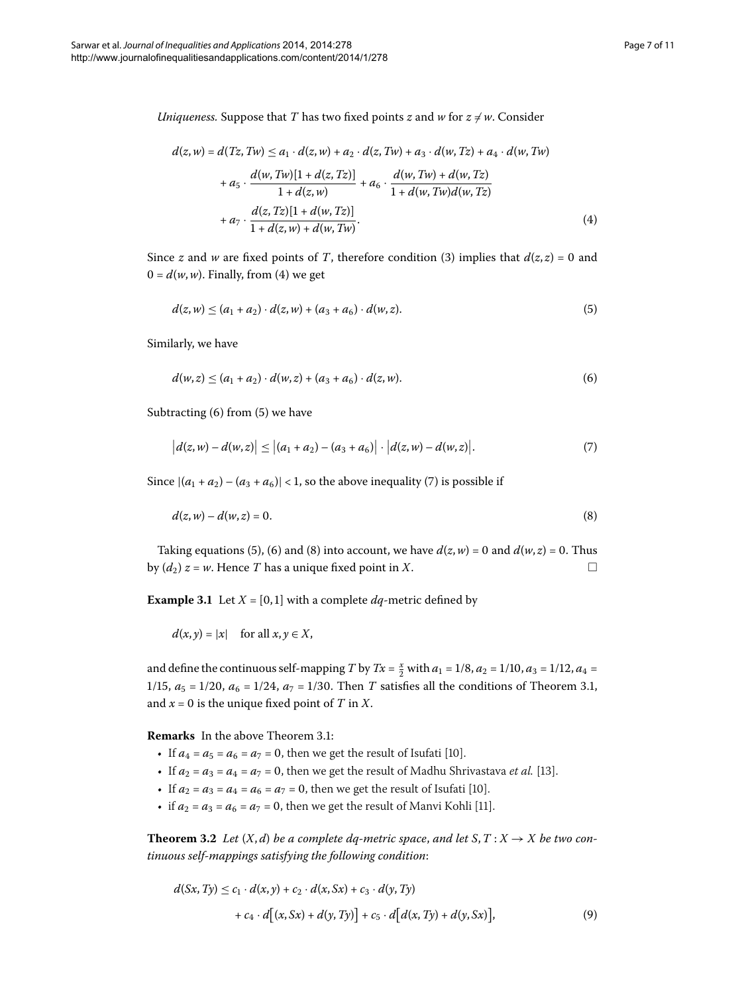*Uniqueness.* Suppose that *T* has two fixed points *z* and *w* for  $z \neq w$ . Consider

<span id="page-6-2"></span><span id="page-6-0"></span>
$$
d(z, w) = d(Tz, Tw) \le a_1 \cdot d(z, w) + a_2 \cdot d(z, Tw) + a_3 \cdot d(w, Tz) + a_4 \cdot d(w, Tw)
$$
  
+  $a_5 \cdot \frac{d(w, Tw)[1 + d(z, Tz)]}{1 + d(z, w)} + a_6 \cdot \frac{d(w, Tw) + d(w, Tz)}{1 + d(w, Tw)d(w, Tz)}$   
+  $a_7 \cdot \frac{d(z, Tz)[1 + d(w, Tz)]}{1 + d(z, w) + d(w, Tw)}.$  (4)

Since *z* and *w* are fixed points of *T*, therefore condition [\(](#page-4-0)3) implies that  $d(z, z) = 0$  and  $0 = d(w, w)$ . Finally, from (4) we get

<span id="page-6-3"></span><span id="page-6-1"></span>
$$
d(z, w) \le (a_1 + a_2) \cdot d(z, w) + (a_3 + a_6) \cdot d(w, z).
$$
 (5)

Similarly, we have

<span id="page-6-4"></span>
$$
d(w, z) \le (a_1 + a_2) \cdot d(w, z) + (a_3 + a_6) \cdot d(z, w).
$$
 (6)

Subtracting  $(6)$  $(6)$  from  $(5)$  we have

$$
\left|d(z,w)-d(w,z)\right|\leq \left|(a_1+a_2)-(a_3+a_6)\right|\cdot \left|d(z,w)-d(w,z)\right|.\tag{7}
$$

Since  $|(a_1 + a_2) - (a_3 + a_6)| < 1$ , so the above inequality (7) is possible if

$$
d(z, w) - d(w, z) = 0.
$$
 (8)

Taking equations (5[\)](#page-6-1), (6) and (8) into account, we have  $d(z, w) = 0$  and  $d(w, z) = 0$ . Thus by  $(d_2) z = w$ . Hence *T* has a unique fixed point in *X*.

**Example 3.1** Let  $X = \begin{bmatrix} 0, 1 \end{bmatrix}$  with a complete  $dq$ -metric defined by

 $d(x, y) = |x|$  for all  $x, y \in X$ ,

and define the continuous self-mapping *T* by *Tx* =  $\frac{x}{2}$  with  $a_1 = 1/8$ ,  $a_2 = 1/10$ ,  $a_3 = 1/12$ ,  $a_4 =$ 1/15,  $a_5 = 1/20$ ,  $a_6 = 1/24$ ,  $a_7 = 1/30$ [.](#page-4-1) Then *T* satisfies all the conditions of Theorem 3.1, and  $x = 0$  is the unique fixed point of *T* in *X*.

<span id="page-6-6"></span>**Remarks** In the above Theorem 3[.](#page-4-1)1:

- If  $a_4 = a_5 = a_6 = a_7 = 0$ , then we get the result of Isufati [\[](#page-9-10)10].
- If  $a_2 = a_3 = a_4 = a_7 = 0$ , then we get the result of Madhu Shrivastava *et al.* [13[\]](#page-10-0).
- If  $a_2 = a_3 = a_4 = a_6 = a_7 = 0$ , then we get the result of Isufati [\[](#page-9-10)10].
- if  $a_2 = a_3 = a_6 = a_7 = 0$ , then we get the result of Manvi Kohli [\[](#page-9-11)11].

**Theorem 3.2** Let  $(X, d)$  be a complete dq-metric space, and let  $S, T: X \rightarrow X$  be two con*tinuous self-mappings satisfying the following condition*:

<span id="page-6-5"></span>
$$
d(Sx, Ty) \le c_1 \cdot d(x, y) + c_2 \cdot d(x, Sx) + c_3 \cdot d(y, Ty) + c_4 \cdot d[(x, Sx) + d(y, Ty)] + c_5 \cdot d[d(x, Ty) + d(y, Sx)],
$$
(9)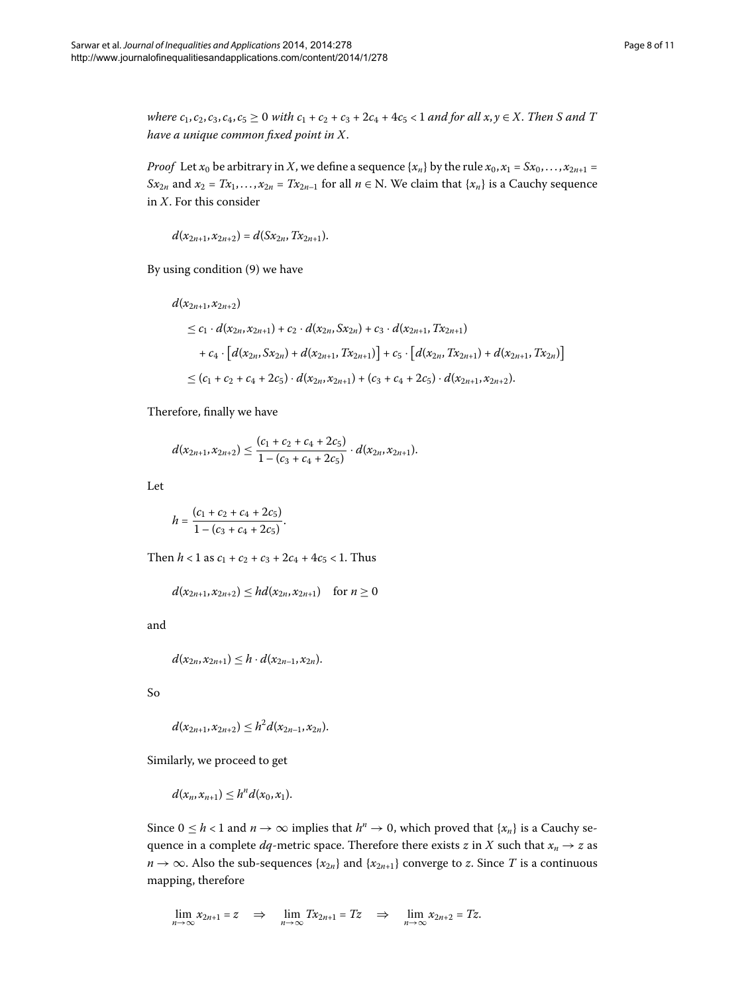*where*  $c_1$ ,  $c_2$ ,  $c_3$ ,  $c_4$ ,  $c_5 \ge 0$  *with*  $c_1 + c_2 + c_3 + 2c_4 + 4c_5 < 1$  *and for all x*,  $y \in X$ . *Then S and T have a unique common fixed point in X*.

*Proof* Let  $x_0$  be arbitrary in *X*, we define a sequence  $\{x_n\}$  by the rule  $x_0, x_1 = Sx_0, \ldots, x_{2n+1} =$ *Sx*<sub>2*n*</sub> and *x*<sub>2</sub> = *Tx*<sub>1</sub>,..., *x*<sub>2*n*</sub> = *Tx*<sub>2*n*-1</sub> for all *n*  $\in$  N. We claim that {*x<sub>n</sub>*} is a Cauchy sequence in *X*. For this consider

$$
d(x_{2n+1}, x_{2n+2}) = d(Sx_{2n}, Tx_{2n+1}).
$$

By using condition  $(9)$  $(9)$  we have

$$
d(x_{2n+1}, x_{2n+2})
$$
  
\n
$$
\leq c_1 \cdot d(x_{2n}, x_{2n+1}) + c_2 \cdot d(x_{2n}, Sx_{2n}) + c_3 \cdot d(x_{2n+1}, Tx_{2n+1})
$$
  
\n
$$
+ c_4 \cdot [d(x_{2n}, Sx_{2n}) + d(x_{2n+1}, Tx_{2n+1})] + c_5 \cdot [d(x_{2n}, Tx_{2n+1}) + d(x_{2n+1}, Tx_{2n})]
$$
  
\n
$$
\leq (c_1 + c_2 + c_4 + 2c_5) \cdot d(x_{2n}, x_{2n+1}) + (c_3 + c_4 + 2c_5) \cdot d(x_{2n+1}, x_{2n+2}).
$$

Therefore, finally we have

$$
d(x_{2n+1},x_{2n+2}) \leq \frac{(c_1+c_2+c_4+2c_5)}{1-(c_3+c_4+2c_5)} \cdot d(x_{2n},x_{2n+1}).
$$

Let

$$
h=\frac{(c_1+c_2+c_4+2c_5)}{1-(c_3+c_4+2c_5)}.
$$

Then  $h < 1$  as  $c_1 + c_2 + c_3 + 2c_4 + 4c_5 < 1$ . Thus

$$
d(x_{2n+1}, x_{2n+2}) \le hd(x_{2n}, x_{2n+1}) \quad \text{for } n \ge 0
$$

and

$$
d(x_{2n}, x_{2n+1}) \leq h \cdot d(x_{2n-1}, x_{2n}).
$$

So

$$
d(x_{2n+1}, x_{2n+2}) \leq h^2 d(x_{2n-1}, x_{2n}).
$$

Similarly, we proceed to get

$$
d(x_n,x_{n+1})\leq h^n d(x_0,x_1).
$$

Since  $0 \le h < 1$  and  $n \to \infty$  implies that  $h^n \to 0$ , which proved that  $\{x_n\}$  is a Cauchy sequence in a complete *dq*-metric space. Therefore there exists *z* in *X* such that  $x_n \to z$  as *n* → ∞. Also the sub-sequences { $x_{2n}$ } and { $x_{2n+1}$ } converge to *z*. Since *T* is a continuous mapping, therefore

$$
\lim_{n\to\infty} x_{2n+1} = z \quad \Rightarrow \quad \lim_{n\to\infty} Tx_{2n+1} = Tz \quad \Rightarrow \quad \lim_{n\to\infty} x_{2n+2} = Tz.
$$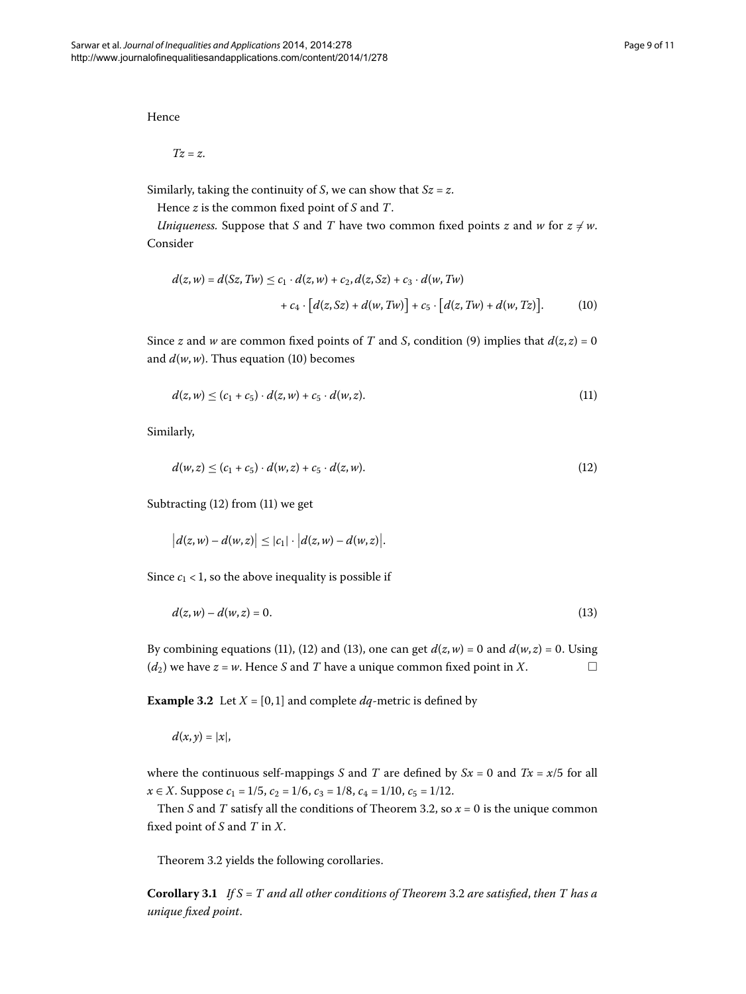Hence

<span id="page-8-0"></span>*Tz* = *z*.

Similarly, taking the continuity of *S*, we can show that *Sz* = *z*.

Hence *z* is the common fixed point of *S* and *T*.

*Uniqueness.* Suppose that *S* and *T* have two common fixed points *z* and *w* for  $z \neq w$ . Consider

<span id="page-8-2"></span>
$$
d(z, w) = d(Sz, Tw) \le c_1 \cdot d(z, w) + c_2, d(z, Sz) + c_3 \cdot d(w, Tw)
$$
  
+ 
$$
c_4 \cdot [d(z, Sz) + d(w, Tw)] + c_5 \cdot [d(z, Tw) + d(w, Tz)].
$$
 (10)

Since *z* and *w* are common fixed points of *T* and *S*, condition (9) implies that  $d(z, z) = 0$ and  $d(w, w)$ . Thus equation (10) becomes

<span id="page-8-1"></span>
$$
d(z, w) \le (c_1 + c_5) \cdot d(z, w) + c_5 \cdot d(w, z). \tag{11}
$$

Similarly,

<span id="page-8-3"></span>
$$
d(w, z) \le (c_1 + c_5) \cdot d(w, z) + c_5 \cdot d(z, w). \tag{12}
$$

Subtracting  $(12)$  from  $(11)$  we get

$$
|d(z, w) - d(w, z)| \leq |c_1| \cdot |d(z, w) - d(w, z)|.
$$

Since  $c_1$  < 1, so the above inequality is possible if

$$
d(z, w) - d(w, z) = 0.
$$
\n(13)

By combining equations [\(](#page-8-2)11[\)](#page-8-1), (12) and (13), one can get  $d(z, w) = 0$  and  $d(w, z) = 0$ . Using ( $d_2$ ) we have  $z = w$ . Hence *S* and *T* have a unique common fixed point in *X*.

**Example 3.2** Let  $X = [0, 1]$  and complete  $dq$ -metric is defined by

 $d(x, y) = |x|$ ,

<span id="page-8-4"></span>where the continuous self-mappings *S* and *T* are defined by  $Sx = 0$  and  $Tx = x/5$  for all  $x \in X$ . Suppose  $c_1 = 1/5$ ,  $c_2 = 1/6$ ,  $c_3 = 1/8$ ,  $c_4 = 1/10$ ,  $c_5 = 1/12$ .

Then *S* and *T* satisfy all the conditions of Theorem 3.2, so  $x = 0$  is the unique common fixed point of *S* and *T* in *X*.

Theorem 3[.](#page-6-6)2 yields the following corollaries.

**Corollary .** *If S* = *T and all other conditions of Theorem* [.](#page-6-6) *are satisfied*, *then T has a unique fixed point*.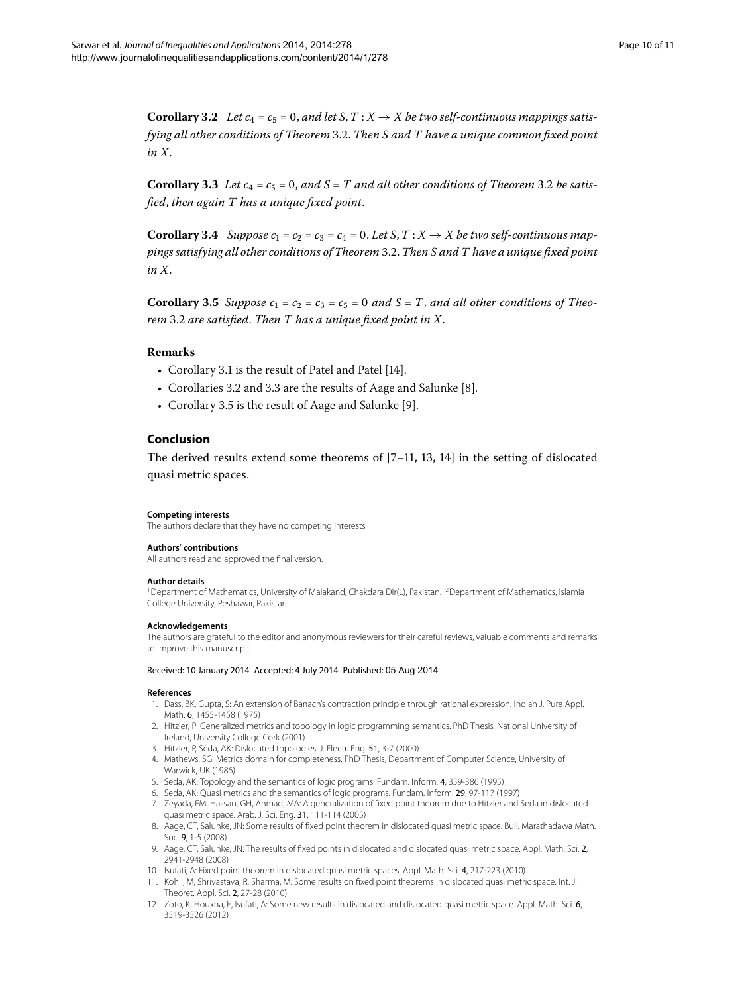<span id="page-9-14"></span><span id="page-9-13"></span>**Corollary 3.2** Let  $c_4 = c_5 = 0$ , and let  $S, T: X \rightarrow X$  be two self-continuous mappings satis*fying all other conditions of Theorem* 3.2. *Then S and T have a unique common fixed point in X*.

<span id="page-9-15"></span>**Corollary 3[.](#page-6-6)3** Let  $c_4 = c_5 = 0$ , and  $S = T$  and all other conditions of Theorem 3.2 be satis*fied*, *then again T has a unique fixed point*.

**Corollary 3.4** Suppose  $c_1 = c_2 = c_3 = c_4 = 0$ . Let S,  $T: X \rightarrow X$  be two self-continuous map*pings satisfying all other conditions of Theorem* [.](#page-6-6). *Then S and T have a unique fixed point in X*.

**Corollary 3.5** Suppose  $c_1 = c_2 = c_3 = c_5 = 0$  and  $S = T$ , and all other conditions of Theo*rem* [.](#page-6-6) *are satisfied*. *Then T has a unique fixed point in X*.

## **Remarks**

- Corollary 3[.](#page-8-4)1 is the result of Patel and Patel [14[\]](#page-10-1).
- Corollaries 3[.](#page-9-14)2 and 3.3 are the results of Aage and Salunke [\[](#page-9-8)8].
- Corollary 3[.](#page-9-15)5 is the result of Aage and Salunke [\[](#page-9-9)9].

# **Conclusion**

<span id="page-9-1"></span><span id="page-9-0"></span>The derived results extend some theorems of  $[7-11, 13, 14]$  $[7-11, 13, 14]$  $[7-11, 13, 14]$  $[7-11, 13, 14]$  in the setting of dislocated quasi metric spaces.

#### **Competing interests**

The authors declare that they have no competing interests.

### **Authors' contributions**

All authors read and approved the final version.

#### **Author details**

<span id="page-9-2"></span><sup>1</sup> Department of Mathematics, University of Malakand, Chakdara Dir(L), Pakistan. <sup>2</sup>Department of Mathematics, Islamia College University, Peshawar, Pakistan.

#### <span id="page-9-3"></span>**Acknowledgements**

<span id="page-9-6"></span><span id="page-9-5"></span>The authors are grateful to the editor and anonymous reviewers for their careful reviews, valuable comments and remarks to improve this manuscript.

#### <span id="page-9-4"></span>Received: 10 January 2014 Accepted: 4 July 2014 Published: 05 Aug 2014

#### <span id="page-9-8"></span><span id="page-9-7"></span>**References**

- 1. Dass, BK, Gupta, S: An extension of Banach's contraction principle through rational expression. Indian J. Pure Appl. Math. 6, 1455-1458 (1975)
- <span id="page-9-9"></span>2. Hitzler, P: Generalized metrics and topology in logic programming semantics. PhD Thesis, National University of Ireland, University College Cork (2001)
- 3. Hitzler, P, Seda, AK: Dislocated topologies. J. Electr. Eng. 51, 3-7 (2000)
- <span id="page-9-11"></span><span id="page-9-10"></span>4. Mathews, SG: Metrics domain for completeness. PhD Thesis, Department of Computer Science, University of Warwick, UK (1986)
- 5. Seda, AK: Topology and the semantics of logic programs. Fundam. Inform. 4, 359-386 (1995)
- <span id="page-9-12"></span>6. Seda, AK: Quasi metrics and the semantics of logic programs. Fundam. Inform. 29, 97-117 (1997)
- 7. Zeyada, FM, Hassan, GH, Ahmad, MA: A generalization of fixed point theorem due to Hitzler and Seda in dislocated quasi metric space. Arab. J. Sci. Eng. 31, 111-114 (2005)
- 8. Aage, CT, Salunke, JN: Some results of fixed point theorem in dislocated quasi metric space. Bull. Marathadawa Math. Soc. 9, 1-5 (2008)
- 9. Aage, CT, Salunke, JN: The results of fixed points in dislocated and dislocated quasi metric space. Appl. Math. Sci. 2, 2941-2948 (2008)
- 10. Isufati, A: Fixed point theorem in dislocated quasi metric spaces. Appl. Math. Sci. 4, 217-223 (2010)
- 11. Kohli, M, Shrivastava, R, Sharma, M: Some results on fixed point theorems in dislocated quasi metric space. Int. J. Theoret. Appl. Sci. 2, 27-28 (2010)
- 12. Zoto, K, Houxha, E, Isufati, A: Some new results in dislocated and dislocated quasi metric space. Appl. Math. Sci. 6, 3519-3526 (2012)